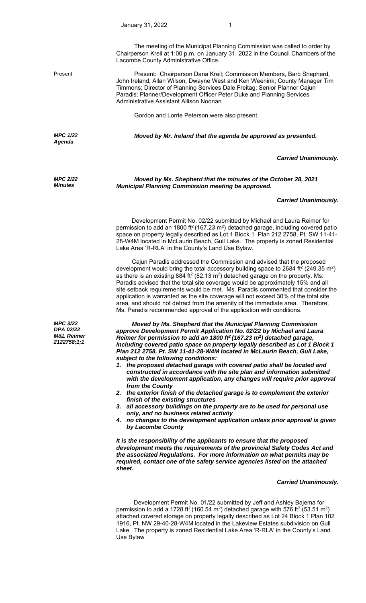The meeting of the Municipal Planning Commission was called to order by Chairperson Kreil at 1:00 p.m. on January 31, 2022 in the Council Chambers of the Lacombe County Administrative Office.

*MPC 1/22 Agenda* 

*MPC 2/22 Minutes*

Present Present: Chairperson Dana Kreil; Commission Members, Barb Shepherd, John Ireland, Allan Wilson, Dwayne West and Ken Weenink; County Manager Tim Timmons; Director of Planning Services Dale Freitag; Senior Planner Cajun Paradis; Planner/Development Officer Peter Duke and Planning Services Administrative Assistant Allison Noonan

Gordon and Lorrie Peterson were also present.

*Moved by Mr. Ireland that the agenda be approved as presented.* 

## *Carried Unanimously.*

*Moved by Ms. Shepherd that the minutes of the October 28, 2021 Municipal Planning Commission meeting be approved.* 

## *Carried Unanimously.*

 Development Permit No. 02/22 submitted by Michael and Laura Reimer for permission to add an 1800 ft<sup>2</sup> (167.23 m<sup>2</sup>) detached garage, including covered patio space on property legally described as Lot 1 Block 1 Plan 212 2758, Pt. SW 11-41- 28-W4M located in McLaurin Beach, Gull Lake. The property is zoned Residential Lake Area 'R-RLA' in the County's Land Use Bylaw.

 Cajun Paradis addressed the Commission and advised that the proposed development would bring the total accessory building space to 2684 ft<sup>2</sup> (249.35 m<sup>2</sup>) as there is an existing  $884$  ft<sup>2</sup> (82.13 m<sup>2</sup>) detached garage on the property. Ms. Paradis advised that the total site coverage would be approximately 15% and all site setback requirements would be met. Ms. Paradis commented that consider the application is warranted as the site coverage will not exceed 30% of the total site area, and should not detract from the amenity of the immediate area. Therefore, Ms. Paradis recommended approval of the application with conditions.

*Moved by Ms. Shepherd that the Municipal Planning Commission approve Development Permit Application No. 02/22 by Michael and Laura Reimer for permission to add an 1800 ft2 (167.23 m2) detached garage, including covered patio space on property legally described as Lot 1 Block 1 Plan 212 2758, Pt. SW 11-41-28-W4M located in McLaurin Beach, Gull Lake, subject to the following conditions:* 

- *1. the proposed detached garage with covered patio shall be located and constructed in accordance with the site plan and information submitted with the development application, any changes will require prior approval from the County*
- *2. the exterior finish of the detached garage is to complement the exterior finish of the existing structures*
- *3. all accessory buildings on the property are to be used for personal use only, and no business related activity*
- *4. no changes to the development application unless prior approval is given by Lacombe County*

*It is the responsibility of the applicants to ensure that the proposed development meets the requirements of the provincial Safety Codes Act and the associated Regulations. For more information on what permits may be required, contact one of the safety service agencies listed on the attached sheet.*

## *Carried Unanimously.*

 Development Permit No. 01/22 submitted by Jeff and Ashley Bajema for permission to add a 1728 ft<sup>2</sup> (160.54 m<sup>2</sup>) detached garage with 576 ft<sup>2</sup> (53.51 m<sup>2</sup>) attached covered storage on property legally described as Lot 24 Block 1 Plan 102 1916, Pt. NW 29-40-28-W4M located in the Lakeview Estates subdivision on Gull Lake. The property is zoned Residential Lake Area 'R-RLA' in the County's Land Use Bylaw

*MPC 3/22 DPA 02/22 M&L Reimer 2122758;1;1*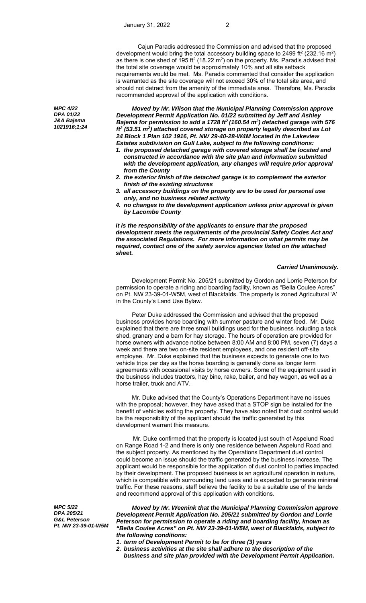*Moved by Mr. Wilson that the Municipal Planning Commission approve Development Permit Application No. 01/22 submitted by Jeff and Ashley Bajema for permission to add a 1728 ft2 (160.54 m2) detached garage with 576 ft2 (53.51 m2) attached covered storage on property legally described as Lot 24 Block 1 Plan 102 1916, Pt. NW 29-40-28-W4M located in the Lakeview Estates subdivision on Gull Lake, subject to the following conditions:* 

- *1. the proposed detached garage with covered storage shall be located and constructed in accordance with the site plan and information submitted with the development application, any changes will require prior approval from the County*
- *2. the exterior finish of the detached garage is to complement the exterior finish of the existing structures*
- *3. all accessory buildings on the property are to be used for personal use only, and no business related activity*
- *4. no changes to the development application unless prior approval is given by Lacombe County*

*It is the responsibility of the applicants to ensure that the proposed development meets the requirements of the provincial Safety Codes Act and the associated Regulations. For more information on what permits may be required, contact one of the safety service agencies listed on the attached sheet.*

## *Carried Unanimously.*

 Development Permit No. 205/21 submitted by Gordon and Lorrie Peterson for permission to operate a riding and boarding facility, known as "Bella Coulee Acres" on Pt. NW 23-39-01-W5M, west of Blackfalds. The property is zoned Agricultural 'A' in the County's Land Use Bylaw.

 Peter Duke addressed the Commission and advised that the proposed business provides horse boarding with summer pasture and winter feed. Mr. Duke explained that there are three small buildings used for the business including a tack shed, granary and a barn for hay storage. The hours of operation are provided for horse owners with advance notice between 8:00 AM and 8:00 PM, seven (7) days a week and there are two on-site resident employees, and one resident off-site employee. Mr. Duke explained that the business expects to generate one to two vehicle trips per day as the horse boarding is generally done as longer term agreements with occasional visits by horse owners. Some of the equipment used in the business includes tractors, hay bine, rake, bailer, and hay wagon, as well as a horse trailer, truck and ATV.

 Mr. Duke advised that the County's Operations Department have no issues with the proposal; however, they have asked that a STOP sign be installed for the benefit of vehicles exiting the property. They have also noted that dust control would be the responsibility of the applicant should the traffic generated by this development warrant this measure.

Mr. Duke confirmed that the property is located just south of Aspelund Road on Range Road 1-2 and there is only one residence between Aspelund Road and the subject property. As mentioned by the Operations Department dust control could become an issue should the traffic generated by the business increase. The applicant would be responsible for the application of dust control to parties impacted by their development. The proposed business is an agricultural operation in nature, which is compatible with surrounding land uses and is expected to generate minimal traffic. For these reasons, staff believe the facility to be a suitable use of the lands and recommend approval of this application with conditions.

*Moved by Mr. Weenink that the Municipal Planning Commission approve Development Permit Application No. 205/21 submitted by Gordon and Lorrie Peterson for permission to operate a riding and boarding facility, known as "Bella Coulee Acres" on Pt. NW 23-39-01-W5M, west of Blackfalds, subject to the following conditions:* 

- *1. term of Development Permit to be for three (3) years*
- *2. business activities at the site shall adhere to the description of the business and site plan provided with the Development Permit Application.*

*MPC 4/22 DPA 01/22 J&A Bajema 1021916;1;24* 

*MPC 5/22 DPA 205/21 G&L Peterson Pt. NW 23-39-01-W5M*